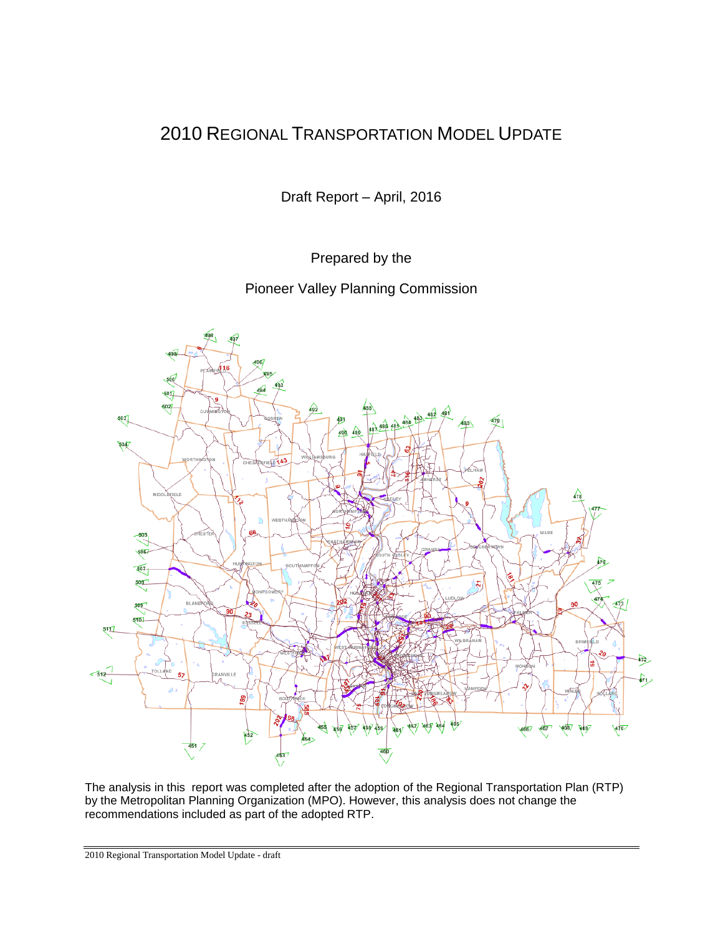# 2010 REGIONAL TRANSPORTATION MODEL UPDATE

Draft Report – April, 2016

Prepared by the

Pioneer Valley Planning Commission



The analysis in this report was completed after the adoption of the Regional Transportation Plan (RTP) by the Metropolitan Planning Organization (MPO). However, this analysis does not change the recommendations included as part of the adopted RTP.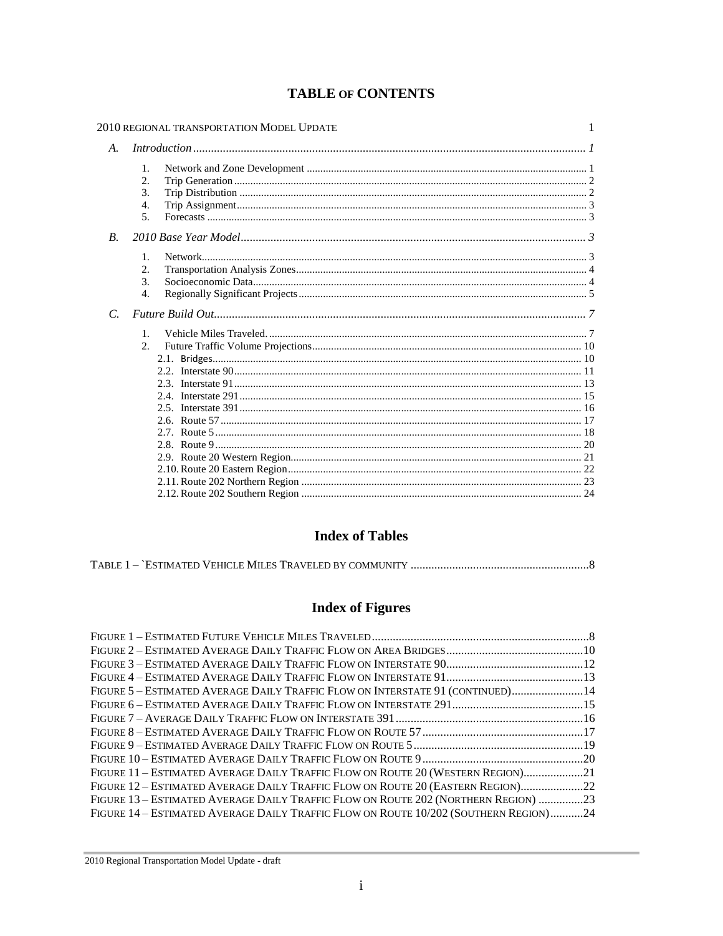|                    | 2010 REGIONAL TRANSPORTATION MODEL UPDATE                       | 1 |  |  |  |
|--------------------|-----------------------------------------------------------------|---|--|--|--|
| $A_{\cdot}$        | Introduction 11                                                 |   |  |  |  |
|                    | 1.<br>2.<br>$\mathcal{F}_{\mathcal{L}}$<br>4.<br>5 <sub>1</sub> |   |  |  |  |
| $\boldsymbol{B}$ . |                                                                 |   |  |  |  |
|                    | $\mathbf{1}$ .<br>2.<br>3.<br>$\overline{4}$ .                  |   |  |  |  |
| $\mathcal{C}$      |                                                                 |   |  |  |  |
|                    | $\mathbf{1}$ .<br>2.                                            |   |  |  |  |

## **TABLE OF CONTENTS**

## **Index of Tables**

|--|--|--|--|

# **Index of Figures**

| FIGURE 5 - ESTIMATED AVERAGE DAILY TRAFFIC FLOW ON INTERSTATE 91 (CONTINUED)14       |  |
|--------------------------------------------------------------------------------------|--|
|                                                                                      |  |
|                                                                                      |  |
|                                                                                      |  |
|                                                                                      |  |
|                                                                                      |  |
| FIGURE 11 - ESTIMATED AVERAGE DAILY TRAFFIC FLOW ON ROUTE 20 (WESTERN REGION)21      |  |
| FIGURE 12 - ESTIMATED AVERAGE DAILY TRAFFIC FLOW ON ROUTE 20 (EASTERN REGION)22      |  |
| FIGURE 13 – ESTIMATED AVERAGE DAILY TRAFFIC FLOW ON ROUTE 202 (NORTHERN REGION) 23   |  |
| FIGURE 14 – ESTIMATED AVERAGE DAILY TRAFFIC FLOW ON ROUTE 10/202 (SOUTHERN REGION)24 |  |
|                                                                                      |  |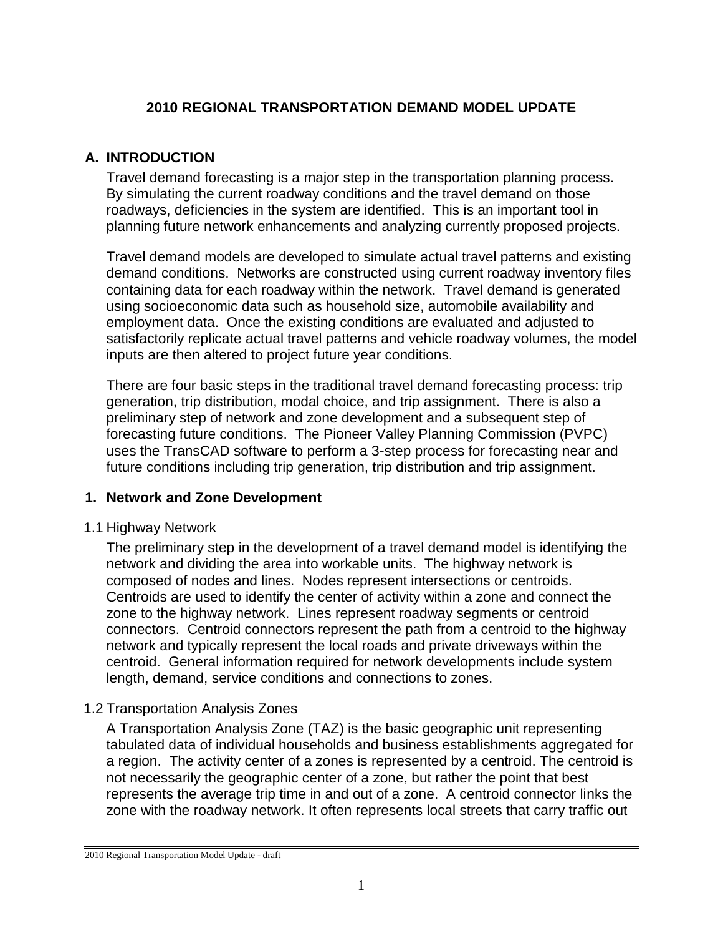## **2010 REGIONAL TRANSPORTATION DEMAND MODEL UPDATE**

## **A. INTRODUCTION**

Travel demand forecasting is a major step in the transportation planning process. By simulating the current roadway conditions and the travel demand on those roadways, deficiencies in the system are identified. This is an important tool in planning future network enhancements and analyzing currently proposed projects.

Travel demand models are developed to simulate actual travel patterns and existing demand conditions. Networks are constructed using current roadway inventory files containing data for each roadway within the network. Travel demand is generated using socioeconomic data such as household size, automobile availability and employment data. Once the existing conditions are evaluated and adjusted to satisfactorily replicate actual travel patterns and vehicle roadway volumes, the model inputs are then altered to project future year conditions.

There are four basic steps in the traditional travel demand forecasting process: trip generation, trip distribution, modal choice, and trip assignment. There is also a preliminary step of network and zone development and a subsequent step of forecasting future conditions. The Pioneer Valley Planning Commission (PVPC) uses the TransCAD software to perform a 3-step process for forecasting near and future conditions including trip generation, trip distribution and trip assignment.

## **1. Network and Zone Development**

## 1.1 Highway Network

The preliminary step in the development of a travel demand model is identifying the network and dividing the area into workable units. The highway network is composed of nodes and lines. Nodes represent intersections or centroids. Centroids are used to identify the center of activity within a zone and connect the zone to the highway network. Lines represent roadway segments or centroid connectors. Centroid connectors represent the path from a centroid to the highway network and typically represent the local roads and private driveways within the centroid. General information required for network developments include system length, demand, service conditions and connections to zones.

## 1.2 Transportation Analysis Zones

A Transportation Analysis Zone (TAZ) is the basic geographic unit representing tabulated data of individual households and business establishments aggregated for a region. The activity center of a zones is represented by a centroid. The centroid is not necessarily the geographic center of a zone, but rather the point that best represents the average trip time in and out of a zone. A centroid connector links the zone with the roadway network. It often represents local streets that carry traffic out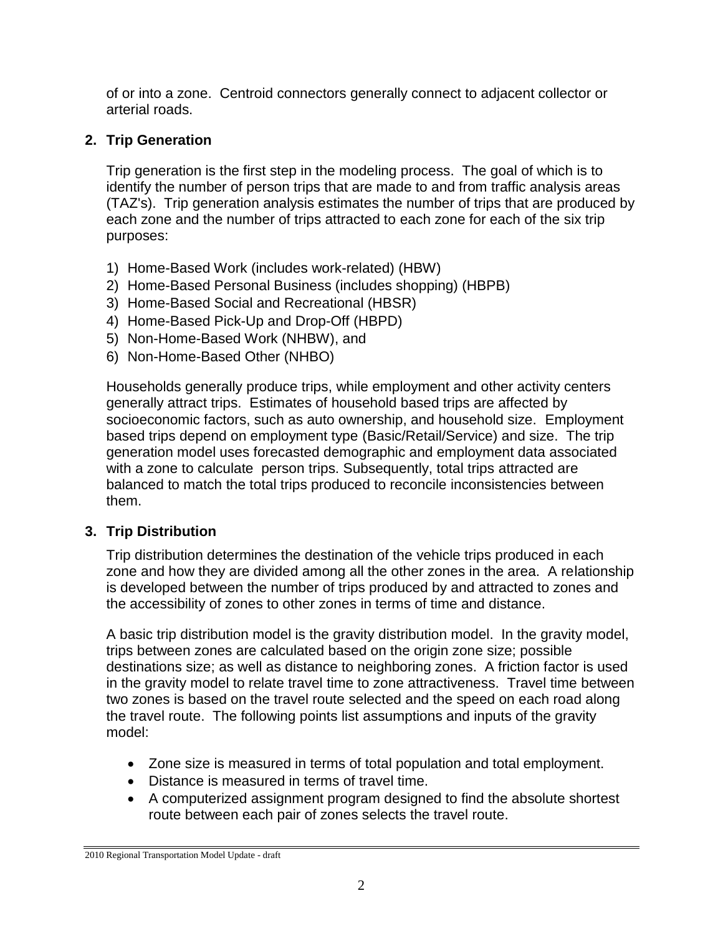of or into a zone. Centroid connectors generally connect to adjacent collector or arterial roads.

# **2. Trip Generation**

Trip generation is the first step in the modeling process. The goal of which is to identify the number of person trips that are made to and from traffic analysis areas (TAZ's). Trip generation analysis estimates the number of trips that are produced by each zone and the number of trips attracted to each zone for each of the six trip purposes:

- 1) Home-Based Work (includes work-related) (HBW)
- 2) Home-Based Personal Business (includes shopping) (HBPB)
- 3) Home-Based Social and Recreational (HBSR)
- 4) Home-Based Pick-Up and Drop-Off (HBPD)
- 5) Non-Home-Based Work (NHBW), and
- 6) Non-Home-Based Other (NHBO)

Households generally produce trips, while employment and other activity centers generally attract trips. Estimates of household based trips are affected by socioeconomic factors, such as auto ownership, and household size. Employment based trips depend on employment type (Basic/Retail/Service) and size. The trip generation model uses forecasted demographic and employment data associated with a zone to calculate person trips. Subsequently, total trips attracted are balanced to match the total trips produced to reconcile inconsistencies between them.

# **3. Trip Distribution**

Trip distribution determines the destination of the vehicle trips produced in each zone and how they are divided among all the other zones in the area. A relationship is developed between the number of trips produced by and attracted to zones and the accessibility of zones to other zones in terms of time and distance.

A basic trip distribution model is the gravity distribution model. In the gravity model, trips between zones are calculated based on the origin zone size; possible destinations size; as well as distance to neighboring zones. A friction factor is used in the gravity model to relate travel time to zone attractiveness. Travel time between two zones is based on the travel route selected and the speed on each road along the travel route. The following points list assumptions and inputs of the gravity model:

- Zone size is measured in terms of total population and total employment.
- Distance is measured in terms of travel time.
- A computerized assignment program designed to find the absolute shortest route between each pair of zones selects the travel route.

<sup>2010</sup> Regional Transportation Model Update - draft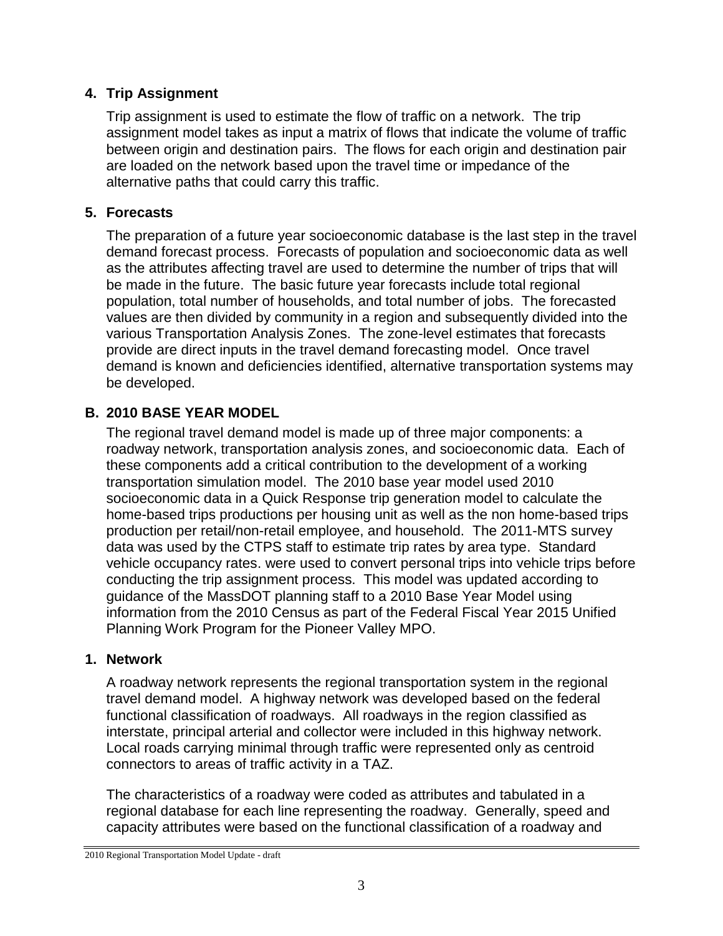## **4. Trip Assignment**

Trip assignment is used to estimate the flow of traffic on a network. The trip assignment model takes as input a matrix of flows that indicate the volume of traffic between origin and destination pairs. The flows for each origin and destination pair are loaded on the network based upon the travel time or impedance of the alternative paths that could carry this traffic.

## **5. Forecasts**

The preparation of a future year socioeconomic database is the last step in the travel demand forecast process. Forecasts of population and socioeconomic data as well as the attributes affecting travel are used to determine the number of trips that will be made in the future. The basic future year forecasts include total regional population, total number of households, and total number of jobs. The forecasted values are then divided by community in a region and subsequently divided into the various Transportation Analysis Zones. The zone-level estimates that forecasts provide are direct inputs in the travel demand forecasting model. Once travel demand is known and deficiencies identified, alternative transportation systems may be developed.

## **B. 2010 BASE YEAR MODEL**

The regional travel demand model is made up of three major components: a roadway network, transportation analysis zones, and socioeconomic data. Each of these components add a critical contribution to the development of a working transportation simulation model. The 2010 base year model used 2010 socioeconomic data in a Quick Response trip generation model to calculate the home-based trips productions per housing unit as well as the non home-based trips production per retail/non-retail employee, and household. The 2011-MTS survey data was used by the CTPS staff to estimate trip rates by area type. Standard vehicle occupancy rates. were used to convert personal trips into vehicle trips before conducting the trip assignment process. This model was updated according to guidance of the MassDOT planning staff to a 2010 Base Year Model using information from the 2010 Census as part of the Federal Fiscal Year 2015 Unified Planning Work Program for the Pioneer Valley MPO.

## **1. Network**

A roadway network represents the regional transportation system in the regional travel demand model. A highway network was developed based on the federal functional classification of roadways. All roadways in the region classified as interstate, principal arterial and collector were included in this highway network. Local roads carrying minimal through traffic were represented only as centroid connectors to areas of traffic activity in a TAZ.

The characteristics of a roadway were coded as attributes and tabulated in a regional database for each line representing the roadway. Generally, speed and capacity attributes were based on the functional classification of a roadway and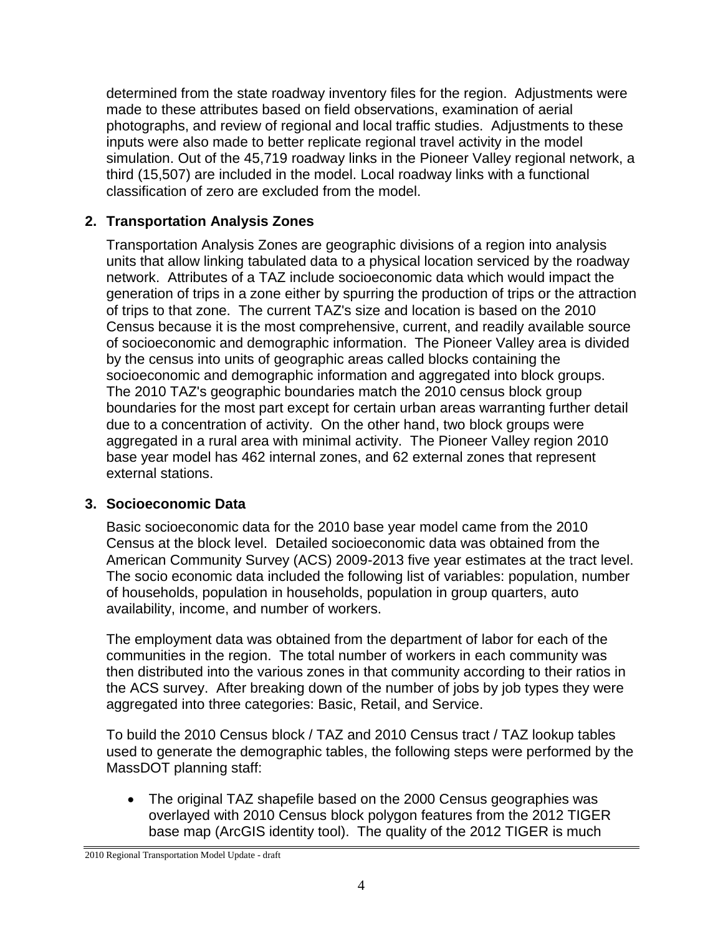determined from the state roadway inventory files for the region. Adjustments were made to these attributes based on field observations, examination of aerial photographs, and review of regional and local traffic studies. Adjustments to these inputs were also made to better replicate regional travel activity in the model simulation. Out of the 45,719 roadway links in the Pioneer Valley regional network, a third (15,507) are included in the model. Local roadway links with a functional classification of zero are excluded from the model.

## **2. Transportation Analysis Zones**

Transportation Analysis Zones are geographic divisions of a region into analysis units that allow linking tabulated data to a physical location serviced by the roadway network. Attributes of a TAZ include socioeconomic data which would impact the generation of trips in a zone either by spurring the production of trips or the attraction of trips to that zone. The current TAZ's size and location is based on the 2010 Census because it is the most comprehensive, current, and readily available source of socioeconomic and demographic information. The Pioneer Valley area is divided by the census into units of geographic areas called blocks containing the socioeconomic and demographic information and aggregated into block groups. The 2010 TAZ's geographic boundaries match the 2010 census block group boundaries for the most part except for certain urban areas warranting further detail due to a concentration of activity. On the other hand, two block groups were aggregated in a rural area with minimal activity. The Pioneer Valley region 2010 base year model has 462 internal zones, and 62 external zones that represent external stations.

## **3. Socioeconomic Data**

Basic socioeconomic data for the 2010 base year model came from the 2010 Census at the block level. Detailed socioeconomic data was obtained from the American Community Survey (ACS) 2009-2013 five year estimates at the tract level. The socio economic data included the following list of variables: population, number of households, population in households, population in group quarters, auto availability, income, and number of workers.

The employment data was obtained from the department of labor for each of the communities in the region. The total number of workers in each community was then distributed into the various zones in that community according to their ratios in the ACS survey. After breaking down of the number of jobs by job types they were aggregated into three categories: Basic, Retail, and Service.

To build the 2010 Census block / TAZ and 2010 Census tract / TAZ lookup tables used to generate the demographic tables, the following steps were performed by the MassDOT planning staff:

 The original TAZ shapefile based on the 2000 Census geographies was overlayed with 2010 Census block polygon features from the 2012 TIGER base map (ArcGIS identity tool). The quality of the 2012 TIGER is much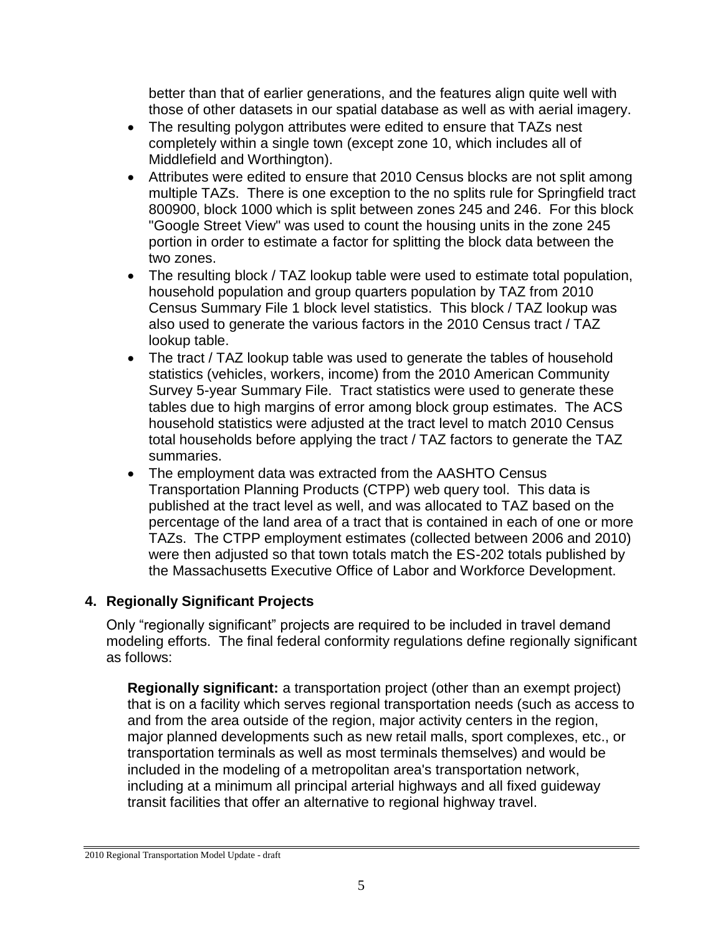better than that of earlier generations, and the features align quite well with those of other datasets in our spatial database as well as with aerial imagery.

- The resulting polygon attributes were edited to ensure that TAZs nest completely within a single town (except zone 10, which includes all of Middlefield and Worthington).
- Attributes were edited to ensure that 2010 Census blocks are not split among multiple TAZs. There is one exception to the no splits rule for Springfield tract 800900, block 1000 which is split between zones 245 and 246. For this block "Google Street View" was used to count the housing units in the zone 245 portion in order to estimate a factor for splitting the block data between the two zones.
- The resulting block / TAZ lookup table were used to estimate total population, household population and group quarters population by TAZ from 2010 Census Summary File 1 block level statistics. This block / TAZ lookup was also used to generate the various factors in the 2010 Census tract / TAZ lookup table.
- The tract / TAZ lookup table was used to generate the tables of household statistics (vehicles, workers, income) from the 2010 American Community Survey 5-year Summary File. Tract statistics were used to generate these tables due to high margins of error among block group estimates. The ACS household statistics were adjusted at the tract level to match 2010 Census total households before applying the tract / TAZ factors to generate the TAZ summaries.
- The employment data was extracted from the AASHTO Census Transportation Planning Products (CTPP) web query tool. This data is published at the tract level as well, and was allocated to TAZ based on the percentage of the land area of a tract that is contained in each of one or more TAZs. The CTPP employment estimates (collected between 2006 and 2010) were then adjusted so that town totals match the ES-202 totals published by the Massachusetts Executive Office of Labor and Workforce Development.

## **4. Regionally Significant Projects**

Only "regionally significant" projects are required to be included in travel demand modeling efforts. The final federal conformity regulations define regionally significant as follows:

**Regionally significant:** a transportation project (other than an exempt project) that is on a facility which serves regional transportation needs (such as access to and from the area outside of the region, major activity centers in the region, major planned developments such as new retail malls, sport complexes, etc., or transportation terminals as well as most terminals themselves) and would be included in the modeling of a metropolitan area's transportation network, including at a minimum all principal arterial highways and all fixed guideway transit facilities that offer an alternative to regional highway travel.

<sup>2010</sup> Regional Transportation Model Update - draft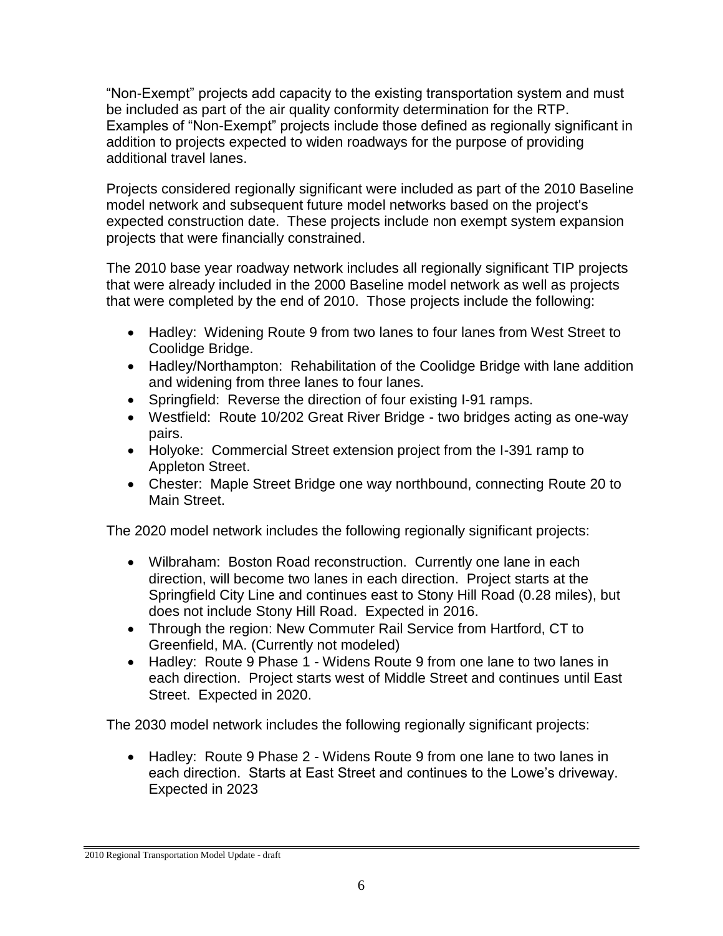"Non-Exempt" projects add capacity to the existing transportation system and must be included as part of the air quality conformity determination for the RTP. Examples of "Non-Exempt" projects include those defined as regionally significant in addition to projects expected to widen roadways for the purpose of providing additional travel lanes.

Projects considered regionally significant were included as part of the 2010 Baseline model network and subsequent future model networks based on the project's expected construction date. These projects include non exempt system expansion projects that were financially constrained.

The 2010 base year roadway network includes all regionally significant TIP projects that were already included in the 2000 Baseline model network as well as projects that were completed by the end of 2010. Those projects include the following:

- Hadley: Widening Route 9 from two lanes to four lanes from West Street to Coolidge Bridge.
- Hadley/Northampton: Rehabilitation of the Coolidge Bridge with lane addition and widening from three lanes to four lanes.
- Springfield: Reverse the direction of four existing I-91 ramps.
- Westfield: Route 10/202 Great River Bridge two bridges acting as one-way pairs.
- Holyoke: Commercial Street extension project from the I-391 ramp to Appleton Street.
- Chester: Maple Street Bridge one way northbound, connecting Route 20 to Main Street.

The 2020 model network includes the following regionally significant projects:

- Wilbraham: Boston Road reconstruction. Currently one lane in each direction, will become two lanes in each direction. Project starts at the Springfield City Line and continues east to Stony Hill Road (0.28 miles), but does not include Stony Hill Road. Expected in 2016.
- Through the region: New Commuter Rail Service from Hartford, CT to Greenfield, MA. (Currently not modeled)
- Hadley: Route 9 Phase 1 Widens Route 9 from one lane to two lanes in each direction. Project starts west of Middle Street and continues until East Street. Expected in 2020.

The 2030 model network includes the following regionally significant projects:

 Hadley: Route 9 Phase 2 - Widens Route 9 from one lane to two lanes in each direction. Starts at East Street and continues to the Lowe's driveway. Expected in 2023

<sup>2010</sup> Regional Transportation Model Update - draft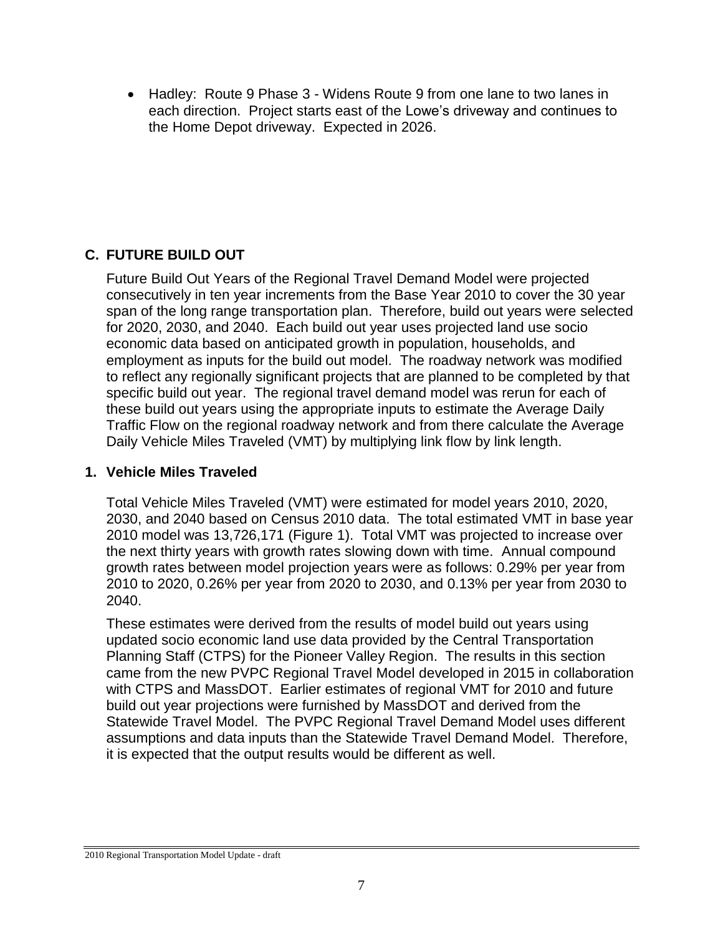Hadley: Route 9 Phase 3 - Widens Route 9 from one lane to two lanes in each direction. Project starts east of the Lowe's driveway and continues to the Home Depot driveway. Expected in 2026.

## **C. FUTURE BUILD OUT**

Future Build Out Years of the Regional Travel Demand Model were projected consecutively in ten year increments from the Base Year 2010 to cover the 30 year span of the long range transportation plan. Therefore, build out years were selected for 2020, 2030, and 2040. Each build out year uses projected land use socio economic data based on anticipated growth in population, households, and employment as inputs for the build out model. The roadway network was modified to reflect any regionally significant projects that are planned to be completed by that specific build out year. The regional travel demand model was rerun for each of these build out years using the appropriate inputs to estimate the Average Daily Traffic Flow on the regional roadway network and from there calculate the Average Daily Vehicle Miles Traveled (VMT) by multiplying link flow by link length.

## **1. Vehicle Miles Traveled**

Total Vehicle Miles Traveled (VMT) were estimated for model years 2010, 2020, 2030, and 2040 based on Census 2010 data. The total estimated VMT in base year 2010 model was 13,726,171 (Figure 1). Total VMT was projected to increase over the next thirty years with growth rates slowing down with time. Annual compound growth rates between model projection years were as follows: 0.29% per year from 2010 to 2020, 0.26% per year from 2020 to 2030, and 0.13% per year from 2030 to 2040.

These estimates were derived from the results of model build out years using updated socio economic land use data provided by the Central Transportation Planning Staff (CTPS) for the Pioneer Valley Region. The results in this section came from the new PVPC Regional Travel Model developed in 2015 in collaboration with CTPS and MassDOT. Earlier estimates of regional VMT for 2010 and future build out year projections were furnished by MassDOT and derived from the Statewide Travel Model. The PVPC Regional Travel Demand Model uses different assumptions and data inputs than the Statewide Travel Demand Model. Therefore, it is expected that the output results would be different as well.

<sup>2010</sup> Regional Transportation Model Update - draft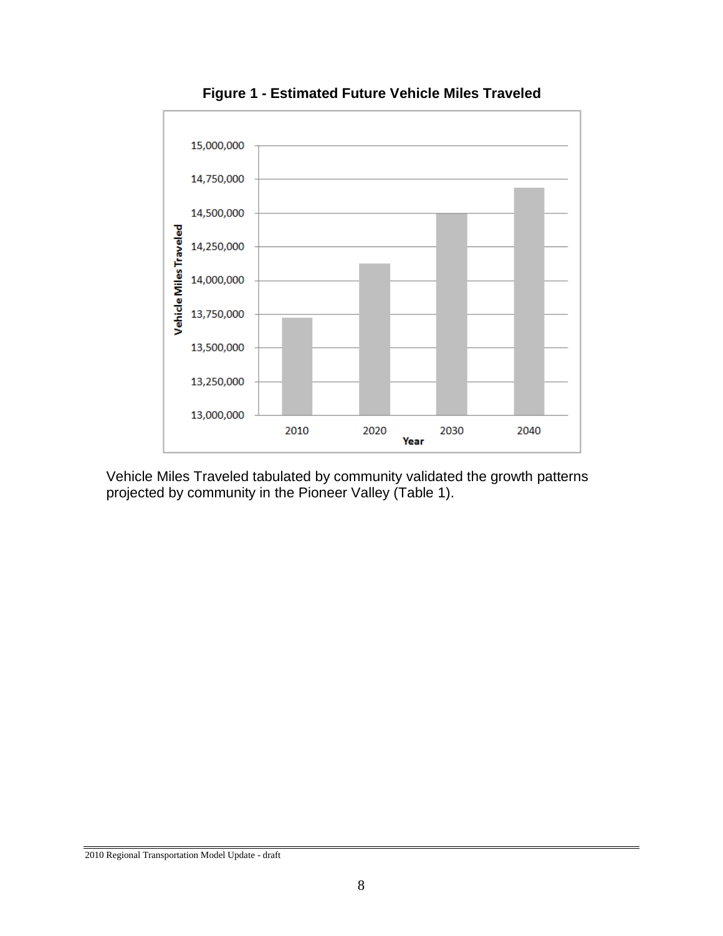

**Figure 1 - Estimated Future Vehicle Miles Traveled** 

Vehicle Miles Traveled tabulated by community validated the growth patterns projected by community in the Pioneer Valley (Table 1).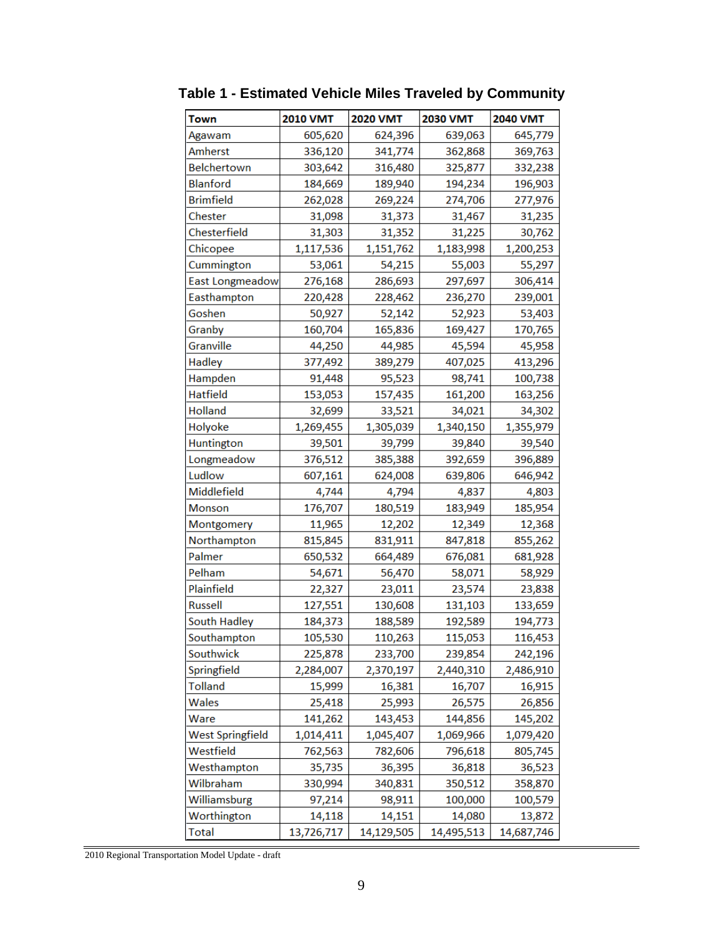| Town                    | <b>2010 VMT</b> | <b>2020 VMT</b> | 2030 VMT   | <b>2040 VMT</b> |
|-------------------------|-----------------|-----------------|------------|-----------------|
| Agawam                  | 605,620         | 624,396         | 639,063    | 645,779         |
| Amherst                 | 336,120         | 341,774         | 362,868    | 369,763         |
| Belchertown             | 303,642         | 316,480         | 325,877    | 332,238         |
| <b>Blanford</b>         | 184,669         | 189,940         | 194,234    | 196,903         |
| <b>Brimfield</b>        | 262,028         | 269,224         | 274,706    | 277,976         |
| Chester                 | 31,098          | 31,373          | 31,467     | 31,235          |
| Chesterfield            | 31,303          | 31,352          | 31,225     | 30,762          |
| Chicopee                | 1,117,536       | 1,151,762       | 1,183,998  | 1,200,253       |
| Cummington              | 53,061          | 54,215          | 55,003     | 55,297          |
| East Longmeadow         | 276,168         | 286,693         | 297,697    | 306,414         |
| Easthampton             | 220,428         | 228,462         | 236,270    | 239,001         |
| Goshen                  | 50,927          | 52,142          | 52,923     | 53,403          |
| Granby                  | 160,704         | 165,836         | 169,427    | 170,765         |
| Granville               | 44,250          | 44,985          | 45,594     | 45,958          |
| Hadley                  | 377,492         | 389,279         | 407,025    | 413,296         |
| Hampden                 | 91,448          | 95,523          | 98,741     | 100,738         |
| <b>Hatfield</b>         | 153,053         | 157,435         | 161,200    | 163,256         |
| <b>Holland</b>          | 32,699          | 33,521          | 34,021     | 34,302          |
| Holyoke                 | 1,269,455       | 1,305,039       | 1,340,150  | 1,355,979       |
| Huntington              | 39,501          | 39,799          | 39,840     | 39,540          |
| Longmeadow              | 376,512         | 385,388         | 392,659    | 396,889         |
| Ludlow                  | 607,161         | 624,008         | 639,806    | 646,942         |
| Middlefield             | 4,744           | 4,794           | 4,837      | 4,803           |
| Monson                  | 176,707         | 180,519         | 183,949    | 185,954         |
| Montgomery              | 11,965          | 12,202          | 12,349     | 12,368          |
| Northampton             | 815,845         | 831,911         | 847,818    | 855,262         |
| Palmer                  | 650,532         | 664,489         | 676,081    | 681,928         |
| Pelham                  | 54,671          | 56,470          | 58,071     | 58,929          |
| Plainfield              | 22,327          | 23,011          | 23,574     | 23,838          |
| <b>Russell</b>          | 127,551         | 130,608         | 131,103    | 133,659         |
| South Hadley            | 184,373         | 188,589         | 192,589    | 194,773         |
| Southampton             | 105,530         | 110,263         | 115,053    | 116,453         |
| Southwick               | 225,878         | 233,700         | 239,854    | 242,196         |
| Springfield             | 2,284,007       | 2,370,197       | 2,440,310  | 2,486,910       |
| <b>Tolland</b>          | 15,999          | 16,381          | 16,707     | 16,915          |
| Wales                   | 25,418          | 25,993          | 26,575     | 26,856          |
| Ware                    | 141,262         | 143,453         | 144,856    | 145,202         |
| <b>West Springfield</b> | 1,014,411       | 1,045,407       | 1,069,966  | 1,079,420       |
| Westfield               | 762,563         | 782,606         | 796,618    | 805,745         |
| Westhampton             | 35,735          | 36,395          | 36,818     | 36,523          |
| Wilbraham               | 330,994         | 340,831         | 350,512    | 358,870         |
| Williamsburg            | 97,214          | 98,911          | 100,000    | 100,579         |
| Worthington             | 14,118          | 14,151          | 14,080     | 13,872          |
| <b>Total</b>            | 13,726,717      | 14,129,505      | 14,495,513 | 14,687,746      |

**Table 1 - Estimated Vehicle Miles Traveled by Community**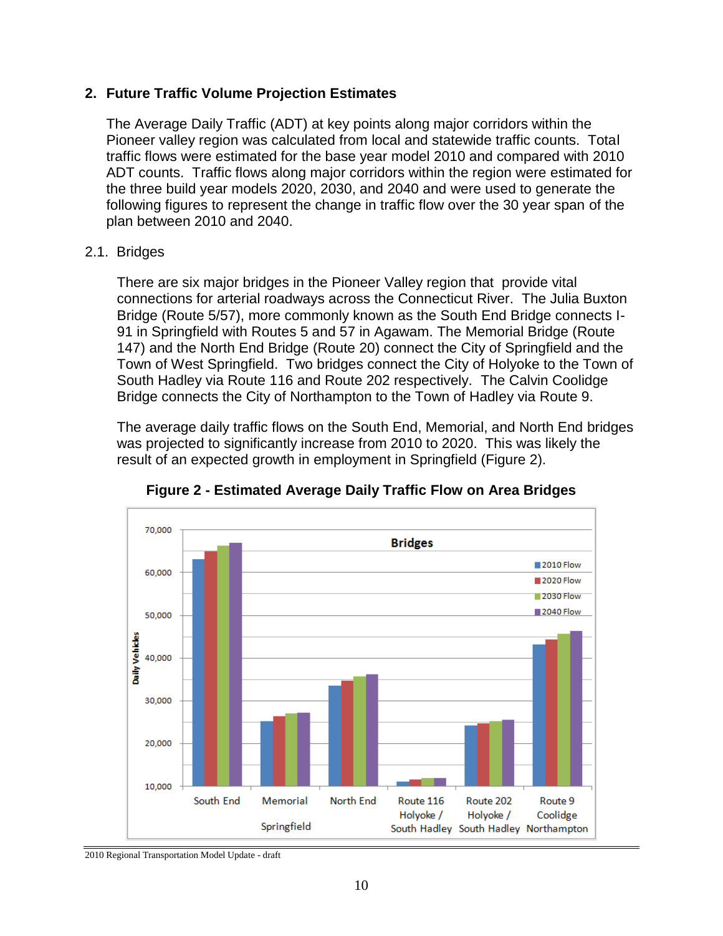#### **2. Future Traffic Volume Projection Estimates**

The Average Daily Traffic (ADT) at key points along major corridors within the Pioneer valley region was calculated from local and statewide traffic counts. Total traffic flows were estimated for the base year model 2010 and compared with 2010 ADT counts. Traffic flows along major corridors within the region were estimated for the three build year models 2020, 2030, and 2040 and were used to generate the following figures to represent the change in traffic flow over the 30 year span of the plan between 2010 and 2040.

#### 2.1. Bridges

There are six major bridges in the Pioneer Valley region that provide vital connections for arterial roadways across the Connecticut River. The Julia Buxton Bridge (Route 5/57), more commonly known as the South End Bridge connects I-91 in Springfield with Routes 5 and 57 in Agawam. The Memorial Bridge (Route 147) and the North End Bridge (Route 20) connect the City of Springfield and the Town of West Springfield. Two bridges connect the City of Holyoke to the Town of South Hadley via Route 116 and Route 202 respectively. The Calvin Coolidge Bridge connects the City of Northampton to the Town of Hadley via Route 9.

The average daily traffic flows on the South End, Memorial, and North End bridges was projected to significantly increase from 2010 to 2020. This was likely the result of an expected growth in employment in Springfield (Figure 2).



**Figure 2 - Estimated Average Daily Traffic Flow on Area Bridges**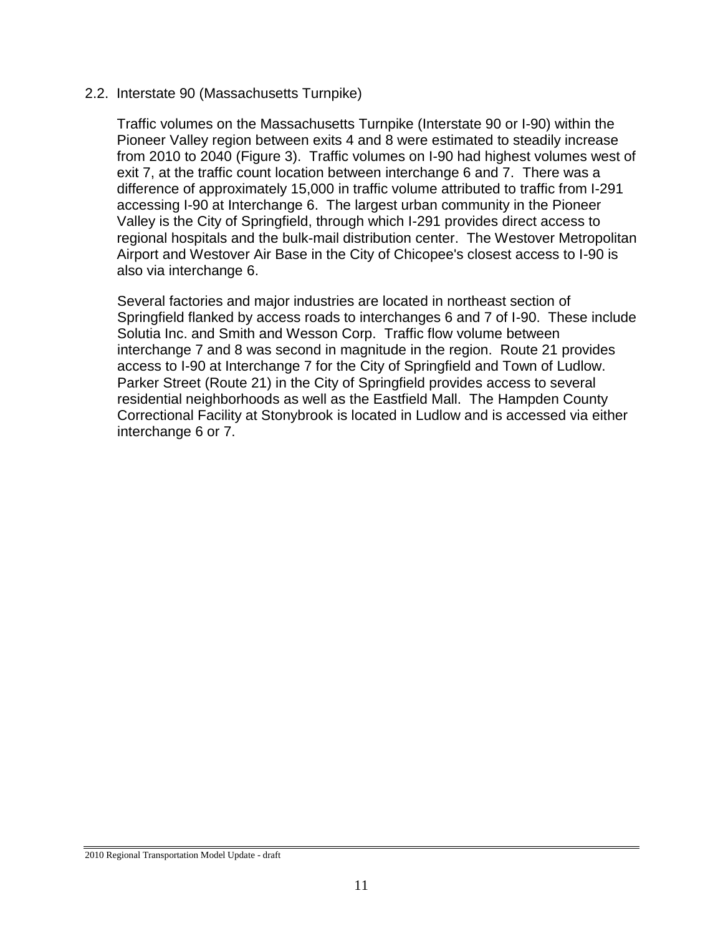#### 2.2. Interstate 90 (Massachusetts Turnpike)

Traffic volumes on the Massachusetts Turnpike (Interstate 90 or I-90) within the Pioneer Valley region between exits 4 and 8 were estimated to steadily increase from 2010 to 2040 (Figure 3). Traffic volumes on I-90 had highest volumes west of exit 7, at the traffic count location between interchange 6 and 7. There was a difference of approximately 15,000 in traffic volume attributed to traffic from I-291 accessing I-90 at Interchange 6. The largest urban community in the Pioneer Valley is the City of Springfield, through which I-291 provides direct access to regional hospitals and the bulk-mail distribution center. The Westover Metropolitan Airport and Westover Air Base in the City of Chicopee's closest access to I-90 is also via interchange 6.

Several factories and major industries are located in northeast section of Springfield flanked by access roads to interchanges 6 and 7 of I-90. These include Solutia Inc. and Smith and Wesson Corp. Traffic flow volume between interchange 7 and 8 was second in magnitude in the region. Route 21 provides access to I-90 at Interchange 7 for the City of Springfield and Town of Ludlow. Parker Street (Route 21) in the City of Springfield provides access to several residential neighborhoods as well as the Eastfield Mall. The Hampden County Correctional Facility at Stonybrook is located in Ludlow and is accessed via either interchange 6 or 7.

<sup>2010</sup> Regional Transportation Model Update - draft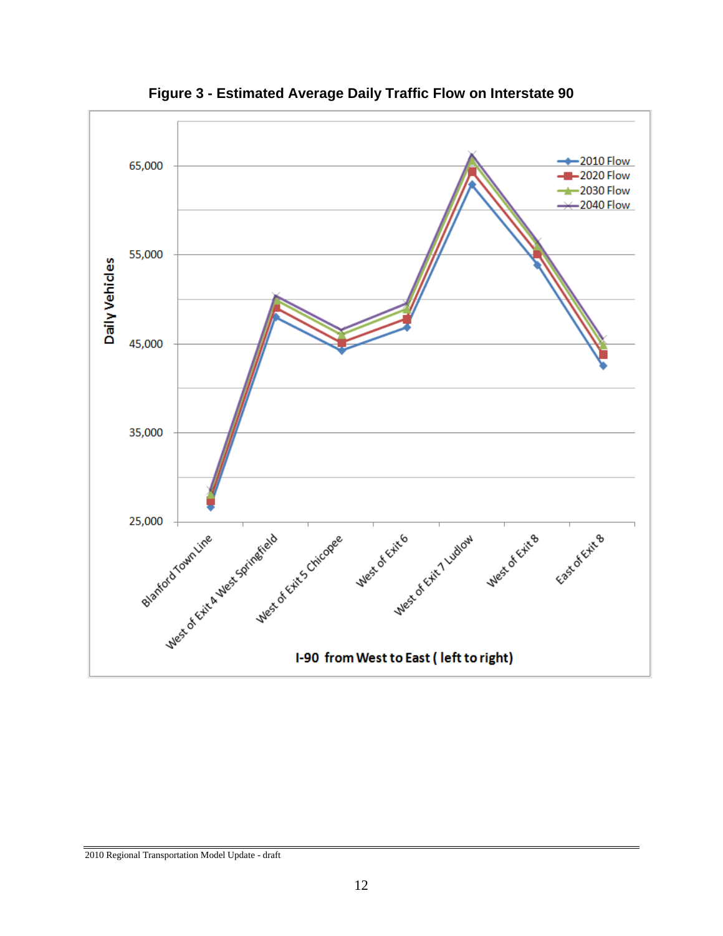

**Figure 3 - Estimated Average Daily Traffic Flow on Interstate 90**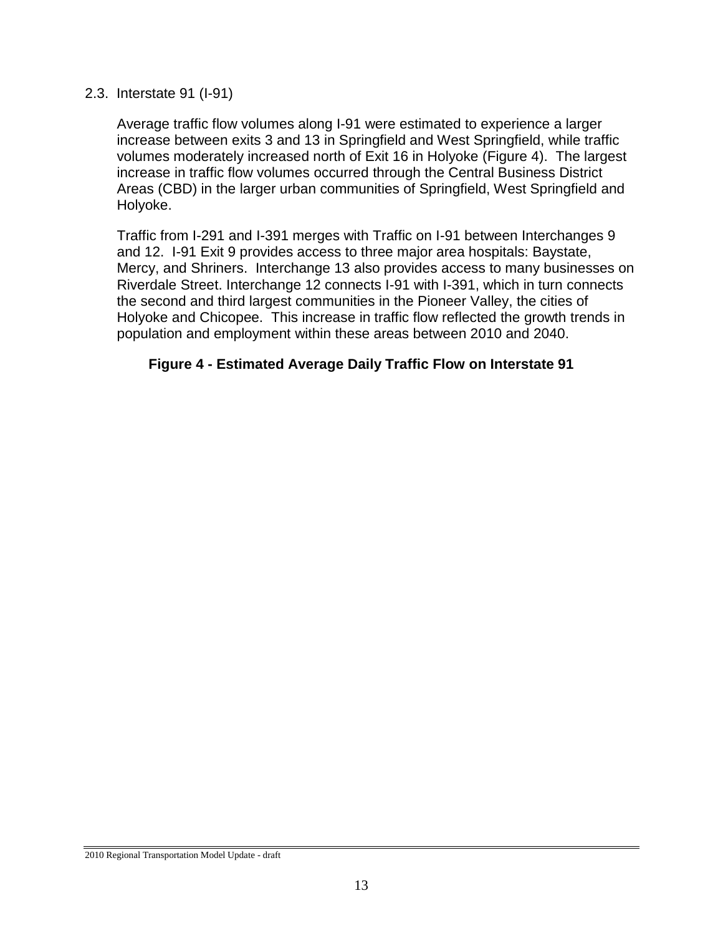#### 2.3. Interstate 91 (I-91)

Average traffic flow volumes along I-91 were estimated to experience a larger increase between exits 3 and 13 in Springfield and West Springfield, while traffic volumes moderately increased north of Exit 16 in Holyoke (Figure 4). The largest increase in traffic flow volumes occurred through the Central Business District Areas (CBD) in the larger urban communities of Springfield, West Springfield and Holyoke.

Traffic from I-291 and I-391 merges with Traffic on I-91 between Interchanges 9 and 12. I-91 Exit 9 provides access to three major area hospitals: Baystate, Mercy, and Shriners. Interchange 13 also provides access to many businesses on Riverdale Street. Interchange 12 connects I-91 with I-391, which in turn connects the second and third largest communities in the Pioneer Valley, the cities of Holyoke and Chicopee. This increase in traffic flow reflected the growth trends in population and employment within these areas between 2010 and 2040.

#### **Figure 4 - Estimated Average Daily Traffic Flow on Interstate 91**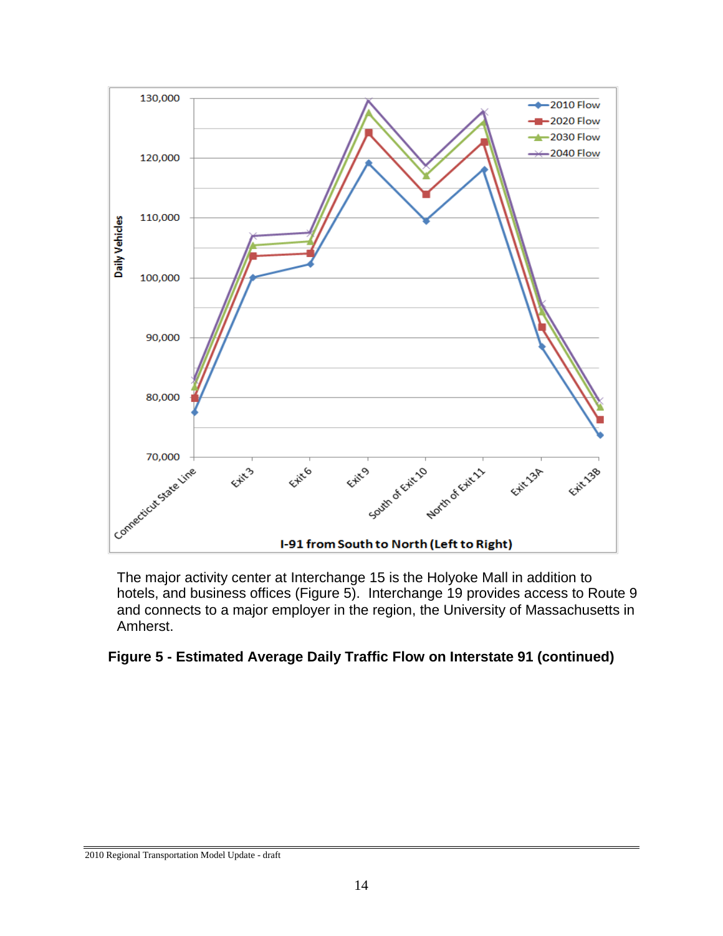

The major activity center at Interchange 15 is the Holyoke Mall in addition to hotels, and business offices (Figure 5). Interchange 19 provides access to Route 9 and connects to a major employer in the region, the University of Massachusetts in Amherst.

#### **Figure 5 - Estimated Average Daily Traffic Flow on Interstate 91 (continued)**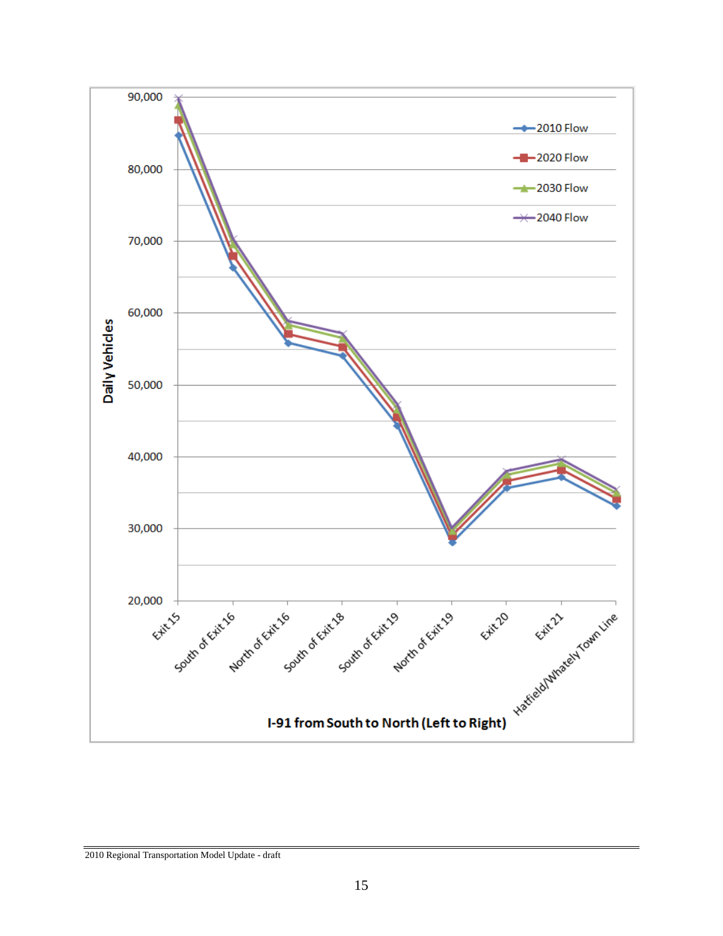

2010 Regional Transportation Model Update - draft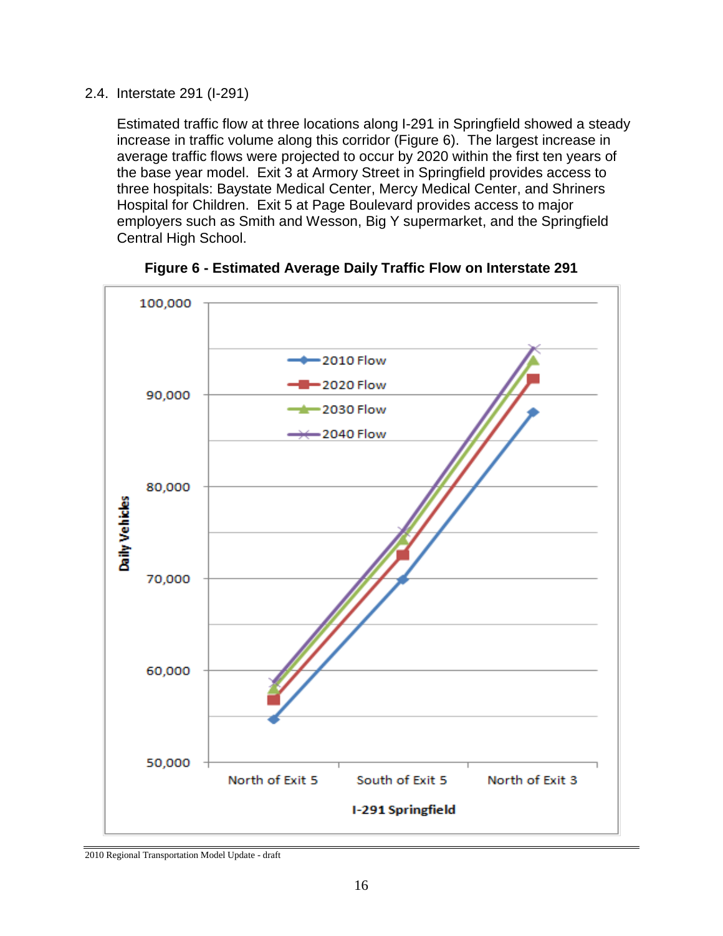2.4. Interstate 291 (I-291)

Estimated traffic flow at three locations along I-291 in Springfield showed a steady increase in traffic volume along this corridor (Figure 6). The largest increase in average traffic flows were projected to occur by 2020 within the first ten years of the base year model. Exit 3 at Armory Street in Springfield provides access to three hospitals: Baystate Medical Center, Mercy Medical Center, and Shriners Hospital for Children. Exit 5 at Page Boulevard provides access to major employers such as Smith and Wesson, Big Y supermarket, and the Springfield Central High School.





<sup>2010</sup> Regional Transportation Model Update - draft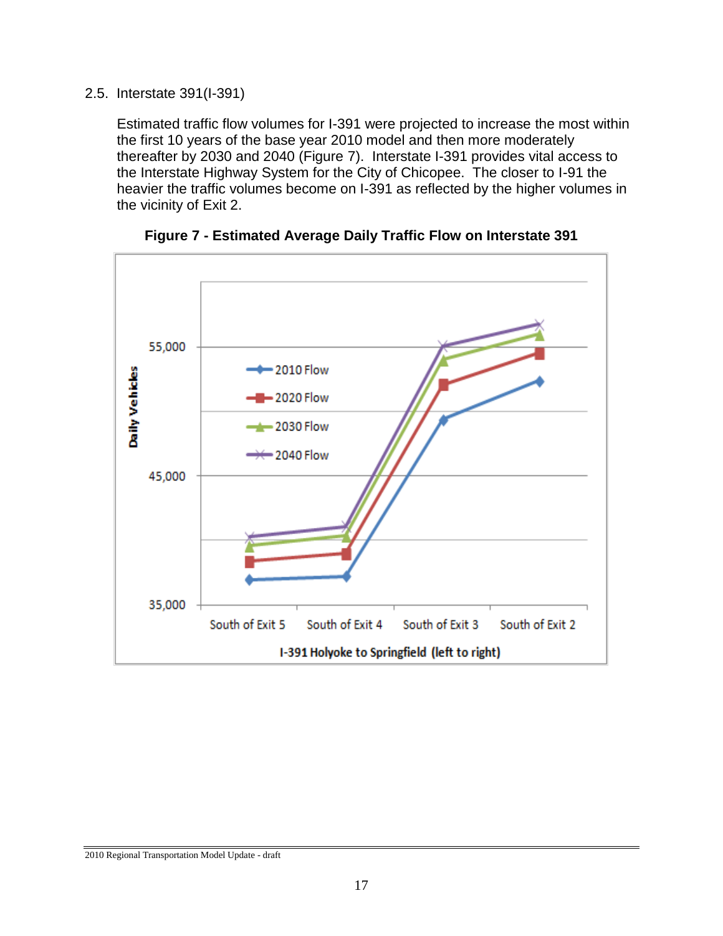#### 2.5. Interstate 391(I-391)

Estimated traffic flow volumes for I-391 were projected to increase the most within the first 10 years of the base year 2010 model and then more moderately thereafter by 2030 and 2040 (Figure 7). Interstate I-391 provides vital access to the Interstate Highway System for the City of Chicopee. The closer to I-91 the heavier the traffic volumes become on I-391 as reflected by the higher volumes in the vicinity of Exit 2.



**Figure 7 - Estimated Average Daily Traffic Flow on Interstate 391**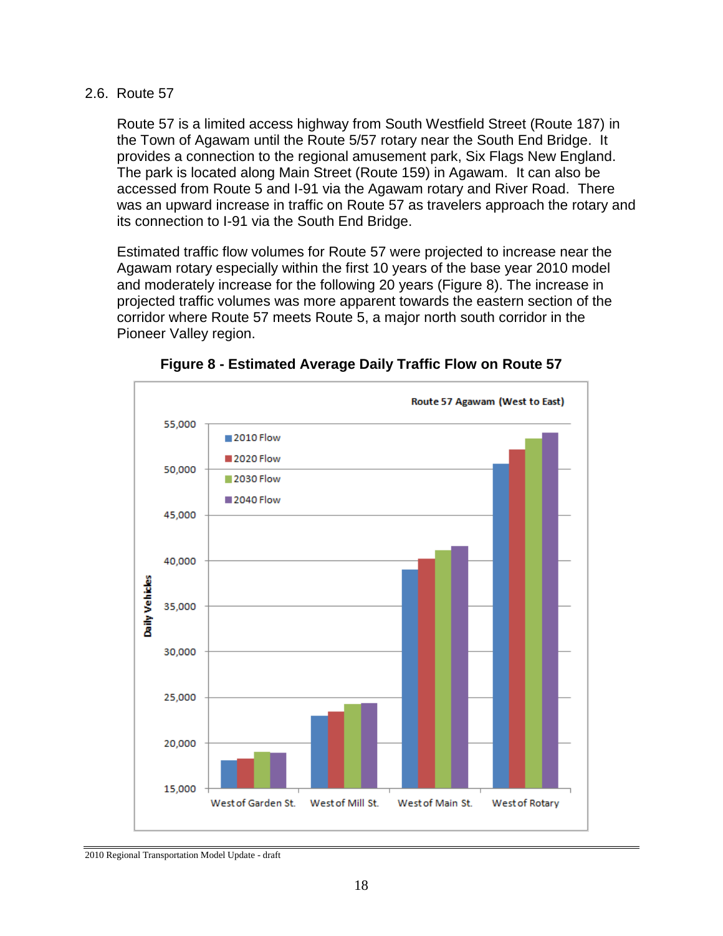#### 2.6. Route 57

Route 57 is a limited access highway from South Westfield Street (Route 187) in the Town of Agawam until the Route 5/57 rotary near the South End Bridge. It provides a connection to the regional amusement park, Six Flags New England. The park is located along Main Street (Route 159) in Agawam. It can also be accessed from Route 5 and I-91 via the Agawam rotary and River Road. There was an upward increase in traffic on Route 57 as travelers approach the rotary and its connection to I-91 via the South End Bridge.

Estimated traffic flow volumes for Route 57 were projected to increase near the Agawam rotary especially within the first 10 years of the base year 2010 model and moderately increase for the following 20 years (Figure 8). The increase in projected traffic volumes was more apparent towards the eastern section of the corridor where Route 57 meets Route 5, a major north south corridor in the Pioneer Valley region.



**Figure 8 - Estimated Average Daily Traffic Flow on Route 57**

<sup>2010</sup> Regional Transportation Model Update - draft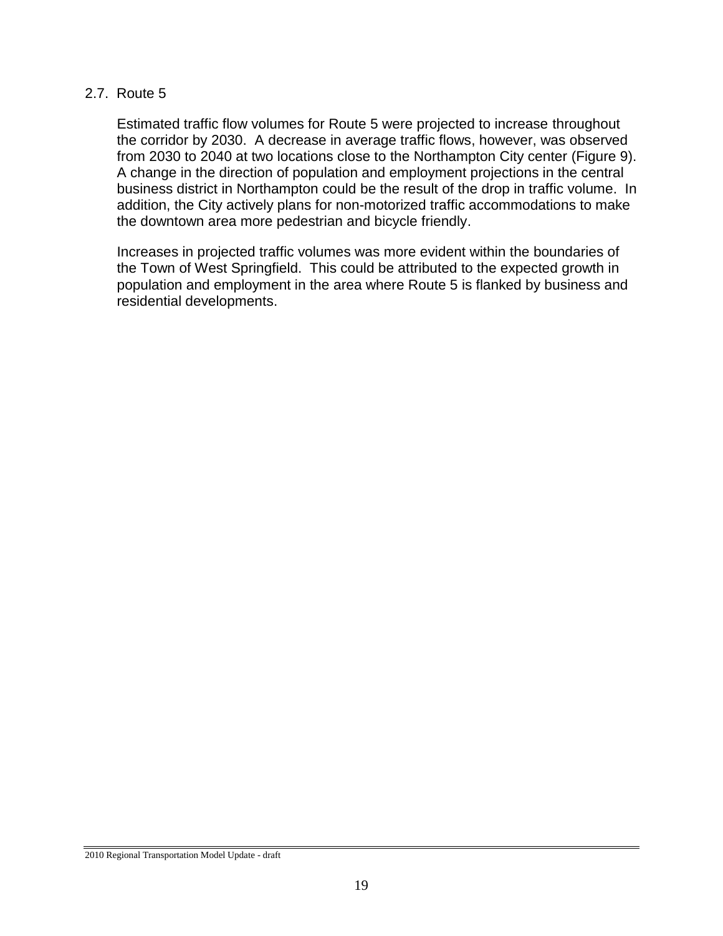#### 2.7. Route 5

Estimated traffic flow volumes for Route 5 were projected to increase throughout the corridor by 2030. A decrease in average traffic flows, however, was observed from 2030 to 2040 at two locations close to the Northampton City center (Figure 9). A change in the direction of population and employment projections in the central business district in Northampton could be the result of the drop in traffic volume. In addition, the City actively plans for non-motorized traffic accommodations to make the downtown area more pedestrian and bicycle friendly.

Increases in projected traffic volumes was more evident within the boundaries of the Town of West Springfield. This could be attributed to the expected growth in population and employment in the area where Route 5 is flanked by business and residential developments.

<sup>2010</sup> Regional Transportation Model Update - draft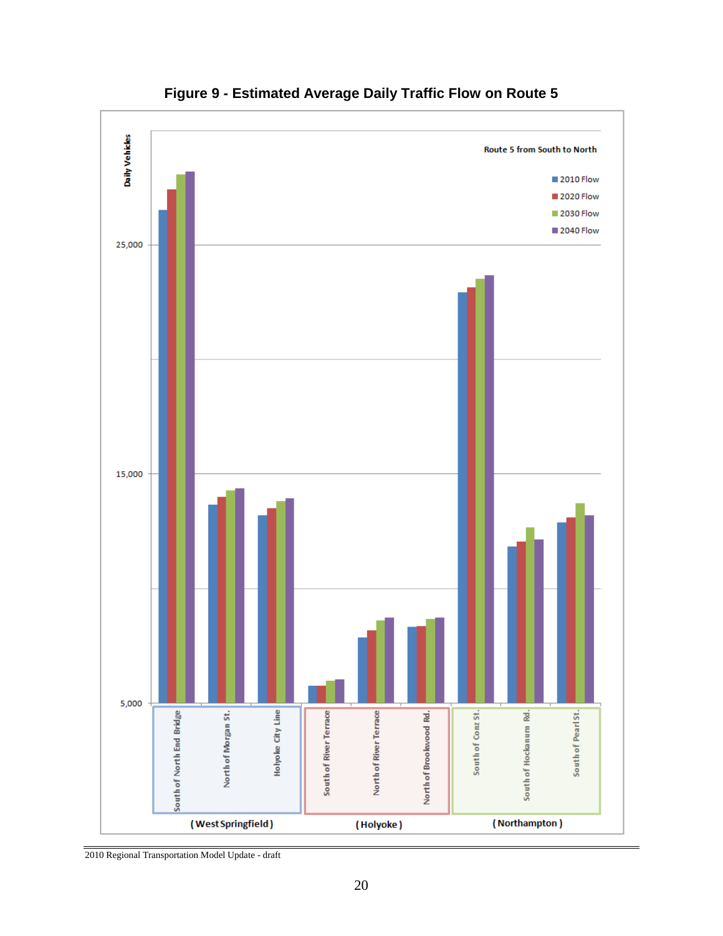

**Figure 9 - Estimated Average Daily Traffic Flow on Route 5**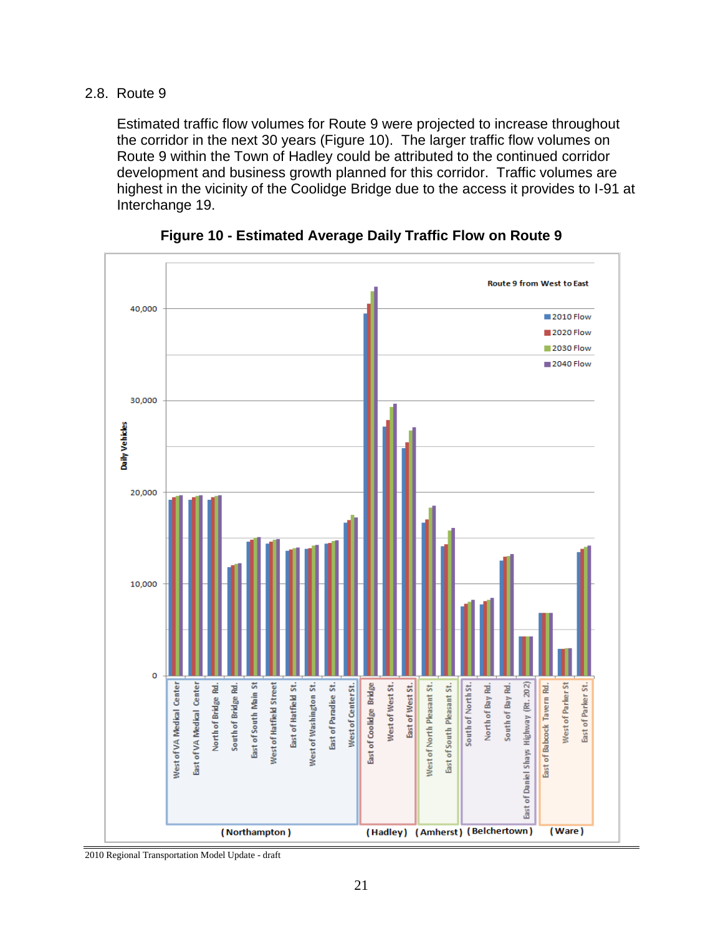#### 2.8. Route 9

Estimated traffic flow volumes for Route 9 were projected to increase throughout the corridor in the next 30 years (Figure 10). The larger traffic flow volumes on Route 9 within the Town of Hadley could be attributed to the continued corridor development and business growth planned for this corridor. Traffic volumes are highest in the vicinity of the Coolidge Bridge due to the access it provides to I-91 at Interchange 19.



**Figure 10 - Estimated Average Daily Traffic Flow on Route 9**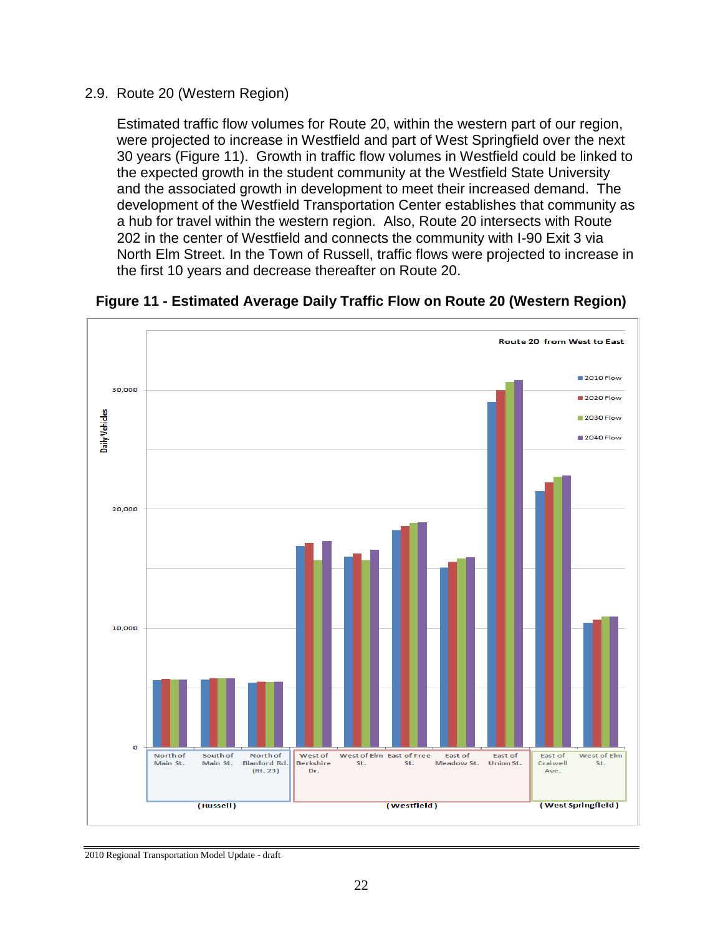#### 2.9. Route 20 (Western Region)

Estimated traffic flow volumes for Route 20, within the western part of our region, were projected to increase in Westfield and part of West Springfield over the next 30 years (Figure 11). Growth in traffic flow volumes in Westfield could be linked to the expected growth in the student community at the Westfield State University and the associated growth in development to meet their increased demand. The development of the Westfield Transportation Center establishes that community as a hub for travel within the western region. Also, Route 20 intersects with Route 202 in the center of Westfield and connects the community with I-90 Exit 3 via North Elm Street. In the Town of Russell, traffic flows were projected to increase in the first 10 years and decrease thereafter on Route 20.



**Figure 11 - Estimated Average Daily Traffic Flow on Route 20 (Western Region)**

<sup>2010</sup> Regional Transportation Model Update - draft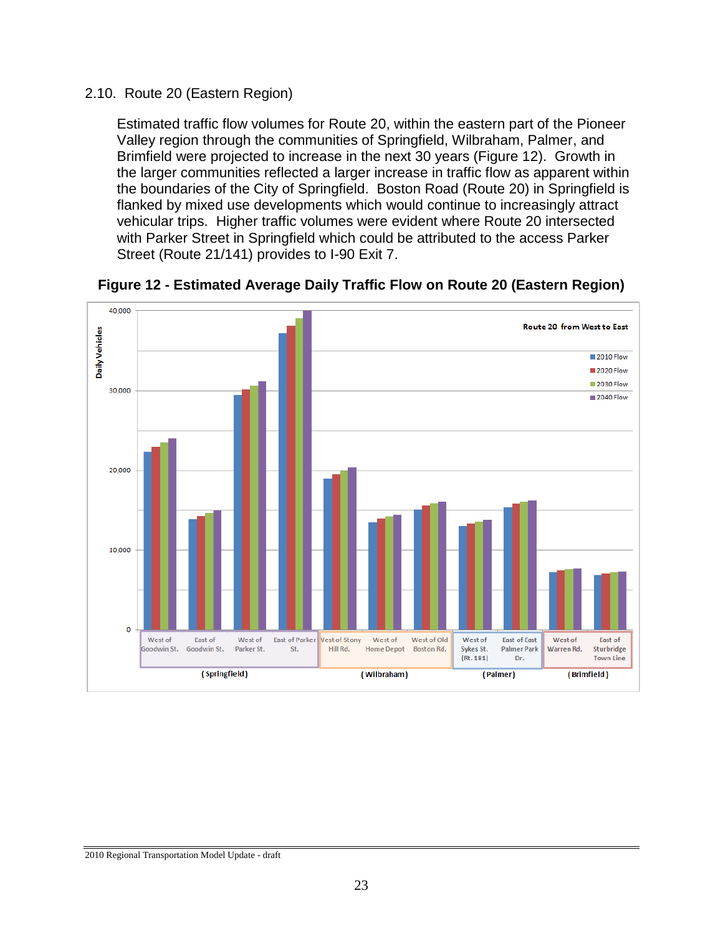#### 2.10. Route 20 (Eastern Region)

Estimated traffic flow volumes for Route 20, within the eastern part of the Pioneer Valley region through the communities of Springfield, Wilbraham, Palmer, and Brimfield were projected to increase in the next 30 years (Figure 12). Growth in the larger communities reflected a larger increase in traffic flow as apparent within the boundaries of the City of Springfield. Boston Road (Route 20) in Springfield is flanked by mixed use developments which would continue to increasingly attract vehicular trips. Higher traffic volumes were evident where Route 20 intersected with Parker Street in Springfield which could be attributed to the access Parker Street (Route 21/141) provides to I-90 Exit 7.



**Figure 12 - Estimated Average Daily Traffic Flow on Route 20 (Eastern Region)**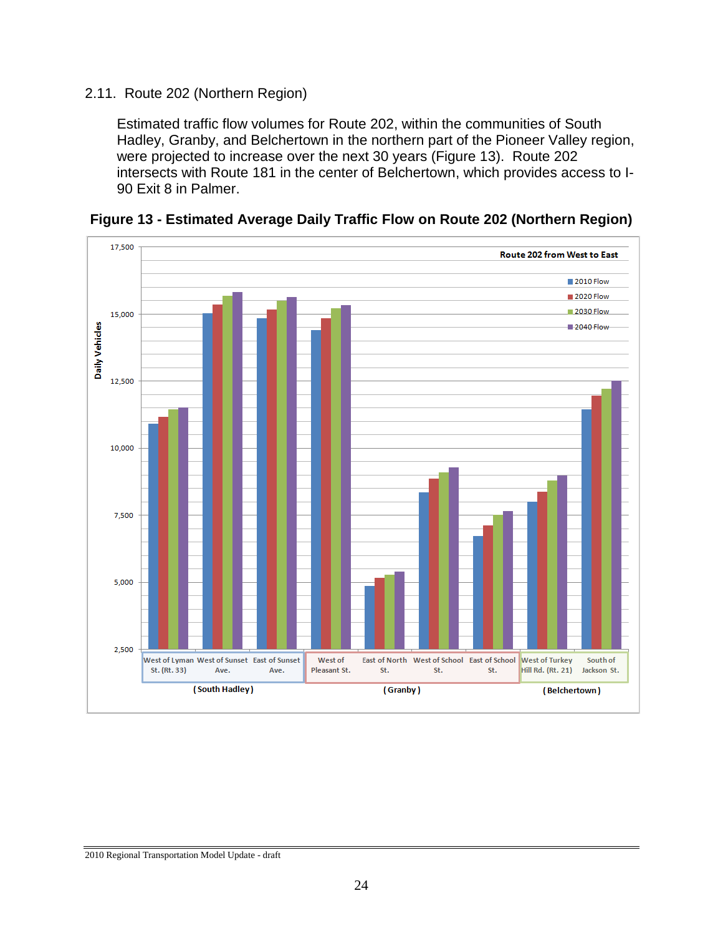#### 2.11. Route 202 (Northern Region)

Estimated traffic flow volumes for Route 202, within the communities of South Hadley, Granby, and Belchertown in the northern part of the Pioneer Valley region, were projected to increase over the next 30 years (Figure 13). Route 202 intersects with Route 181 in the center of Belchertown, which provides access to I-90 Exit 8 in Palmer.



**Figure 13 - Estimated Average Daily Traffic Flow on Route 202 (Northern Region)**